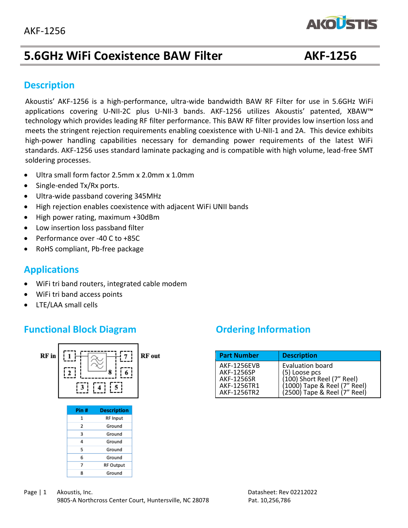# **5.6GHz WiFi Coexistence BAW Filter AKF-1256**

**AKOUSTIS** 

#### **Description**

 standards. AKF-1256 uses standard laminate packaging and is compatible with high volume, lead-free SMT soldering processes. Akoustis' AKF-1256 is a high-performance, ultra-wide bandwidth BAW RF Filter for use in 5.6GHz WiFi applications covering U-NII-2C plus U-NII-3 bands. AKF-1256 utilizes Akoustis' patented, XBAW™ technology which provides leading RF filter performance. This BAW RF filter provides low insertion loss and meets the stringent rejection requirements enabling coexistence with U-NII-1 and 2A. This device exhibits high-power handling capabilities necessary for demanding power requirements of the latest WiFi

- Ultra small form factor 2.5mm x 2.0mm x 1.0mm
- Single-ended Tx/Rx ports.
- Ultra-wide passband covering 345MHz
- High rejection enables coexistence with adjacent WiFi UNII bands
- High power rating, maximum +30dBm
- Low insertion loss passband filter
- Performance over -40 C to +85C
- RoHS compliant, Pb-free package

#### **Applications**

- WiFi tri band routers, integrated cable modem
- WiFi tri band access points
- LTE/LAA small cells

#### **Functional Block Diagram** *Ordering Information*



| <b>Part Number</b> | <b>Description</b>           |
|--------------------|------------------------------|
| <b>AKF-1256EVB</b> | <b>Evaluation board</b>      |
| AKF-1256SP         | (5) Loose pcs                |
| <b>AKF-1256SR</b>  | $(100)$ Short Reel (7" Reel) |
| AKF-1256TR1        | (1000) Tape & Reel (7" Reel) |
| AKF-1256TR2        | (2500) Tape & Reel (7" Reel) |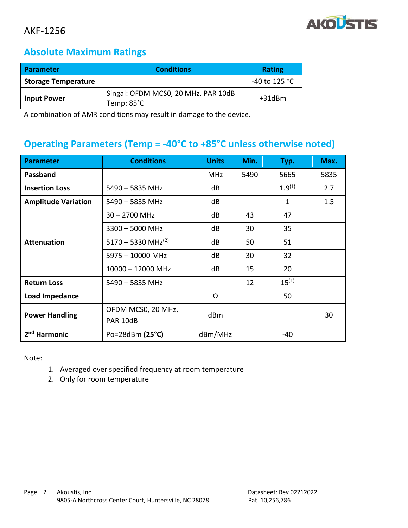

#### **Absolute Maximum Ratings**

| Parameter                  | <b>Conditions</b>                                 | <b>Rating</b>           |
|----------------------------|---------------------------------------------------|-------------------------|
| <b>Storage Temperature</b> |                                                   | -40 to 125 $^{\circ}$ C |
| <b>Input Power</b>         | Singal: OFDM MCS0, 20 MHz, PAR 10dB<br>Temp: 85°C | $+31$ d $Bm$            |

A combination of AMR conditions may result in damage to the device.

# **Operating Parameters (Temp = -40°C to +85°C unless otherwise noted)**

| <b>Parameter</b>           | <b>Conditions</b>              | <b>Units</b> | Min. | Typ.        | Max. |
|----------------------------|--------------------------------|--------------|------|-------------|------|
| Passband                   |                                | <b>MHz</b>   | 5490 | 5665        | 5835 |
| <b>Insertion Loss</b>      | 5490 - 5835 MHz                | dB           |      | $1.9^{(1)}$ | 2.7  |
| <b>Amplitude Variation</b> | 5490 - 5835 MHz                | dB           |      | 1           | 1.5  |
| <b>Attenuation</b>         | $30 - 2700$ MHz                | dB           | 43   | 47          |      |
|                            | $3300 - 5000$ MHz              | dB           | 30   | 35          |      |
|                            | 5170 - 5330 MHz <sup>(2)</sup> | dB           | 50   | 51          |      |
|                            | 5975 - 10000 MHz               | dB           | 30   | 32          |      |
|                            | $10000 - 12000$ MHz            | dB           | 15   | 20          |      |
| <b>Return Loss</b>         | $5490 - 5835$ MHz              |              | 12   | $15^{(1)}$  |      |
| Load Impedance             |                                | Ω            |      | 50          |      |
| <b>Power Handling</b>      | OFDM MCS0, 20 MHz,<br>PAR 10dB | dBm          |      |             | 30   |
| 2 <sup>nd</sup> Harmonic   | Po=28dBm (25°C)                | dBm/MHz      |      | -40         |      |

Note:

- 1. Averaged over specified frequency at room temperature
- 2. Only for room temperature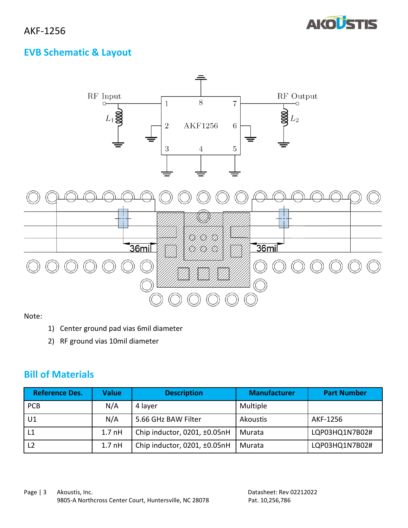

## **EVB Schematic & Layout**



#### Note:

- 1) Center ground pad vias 6mil diameter
- 2) RF ground vias 10mil diameter

#### **Bill of Materials**

| <b>Reference Des.</b> | Value             | <b>Description</b>                | <b>Manufacturer</b> | <b>Part Number</b> |
|-----------------------|-------------------|-----------------------------------|---------------------|--------------------|
| <b>PCB</b>            | N/A               | 4 layer                           | Multiple            |                    |
| U1                    | N/A               | 5.66 GHz BAW Filter               | Akoustis            | AKF-1256           |
| L <sub>1</sub>        | 1.7 <sub>nH</sub> | Chip inductor, 0201, $\pm$ 0.05nH | Murata              | LQP03HQ1N7B02#     |
| L <sub>2</sub>        | 1.7 <sub>nH</sub> | Chip inductor, 0201, $\pm$ 0.05nH | Murata              | LQP03HQ1N7B02#     |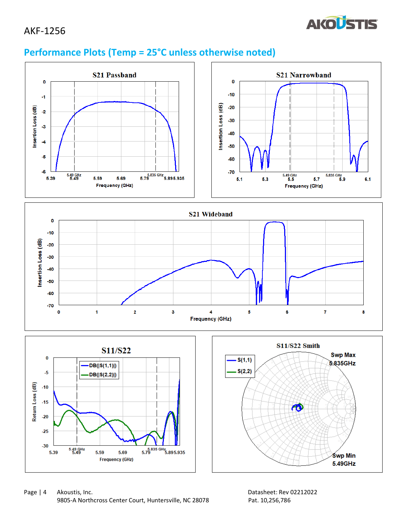

# **Performance Plots (Temp = 25°C unless otherwise noted)**







ഝ

Śwp Min

5.49GHz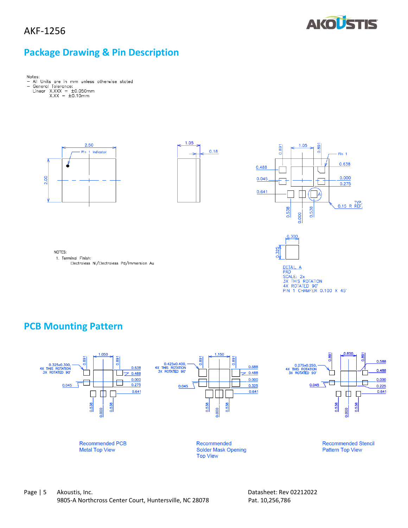

### **Package Drawing & Pin Description**

 $\overline{\phantom{a}}$ Control Tolerance:<br>
Linear X.XXX =  $\pm 0.050$ mm<br>
X.XX =  $\pm 0.10$ mm









**DETAIL**<br>PAD  $\overline{A}$ PAD<br>SCALE: 2x<br>3X THIS ROTATION<br>4X ROTATED 90'<br>PIN 1 CHAMFER 0.100 X 45'

NOTES: 1. Terminal Finish: Electroless Ni/Electroless Pd/Immersion Au

#### **PCB Mounting Pattern**

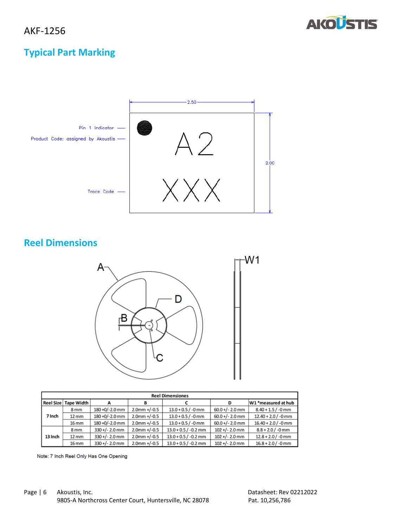

# **Typical Part Marking**



### **Reel Dimensions**



| <b>Reel Dimensiones</b> |                   |                  |                 |                        |                   |                       |
|-------------------------|-------------------|------------------|-----------------|------------------------|-------------------|-----------------------|
| <b>Reel Size</b>        | Tape Width        |                  | B               |                        | D                 | W1 *measured at hub   |
|                         | 8 <sub>mm</sub>   | 180 +0/-2.0 mm   | $2.0$ mm +/-0.5 | $13.0 + 0.5 / -0$ mm   | $60.0 +/- 2.0$ mm | $8.40 + 1.5 / -0$ mm  |
| 7 Inch                  | $12 \, \text{mm}$ | 180 +0/-2.0 mm   | $2.0$ mm +/-0.5 | $13.0 + 0.5 / -0$ mm   | $60.0 +/- 2.0$ mm | $12.40 + 2.0$ / -0 mm |
|                         | 16 mm             | 180 +0/-2.0 mm   | $2.0$ mm +/-0.5 | $13.0 + 0.5 / -0$ mm   | $60.0 +/- 2.0$ mm | $16.40 + 2.0$ / -0 mm |
|                         | 8 <sub>mm</sub>   | $330 +/- 2.0$ mm | $2.0$ mm +/-0.5 | $13.0 + 0.5 / -0.2$ mm | $102 +/- 2.0$ mm  | $8.8 + 2.0 / -0$ mm   |
| 13 Inch                 | $12 \, \text{mm}$ | $330 +/- 2.0$ mm | $2.0$ mm +/-0.5 | $13.0 + 0.5 / -0.2$ mm | $102 +/- 2.0$ mm  | $12.8 + 2.0 / -0$ mm  |
|                         | 16 mm             | $330 +/- 2.0$ mm | $2.0$ mm +/-0.5 | $13.0 + 0.5 / -0.2$ mm | $102 +/- 2.0$ mm  | $16.8 + 2.0 / -0$ mm  |

Note: 7 Inch Reel Only Has One Opening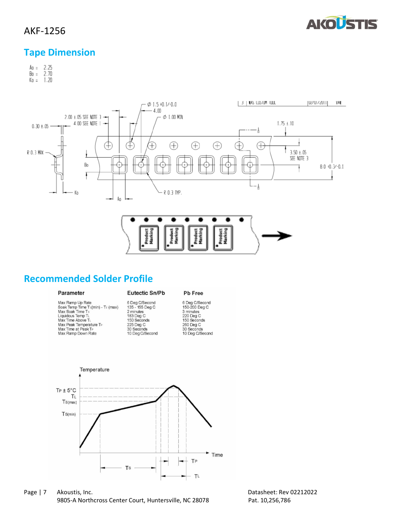

#### **Tape Dimension**

 $A_0 = 2.25$ <br>Bo = 2.70  $K_0 = 1.20$ 



#### **Recommended Solder Profile**

#### Parameter

Max Ramp Up Rate<br>Soak Temp Time Ts(min) - Ts (max)<br>Max Soak Time Ts<br>Liquidous Temp T<br>Max Time Above Ti<br>Max Peak Temperature Ts<br>Max Peak Temperature Ts Max Time at Peak T<sub>P</sub><br>Max Ramp Down Rate

# **Eutectic Sn/Pb** 6 Deg C/Second<br>135 - 155 Deg C<br>2 minutes<br>183 Deg C<br>150 Seconds<br>225 Deg C

30 Seconds<br>10 Deg C/Second

6 Deg C/Secord<br>150-200 Deg C 150-200 Deg<br>3 minutes<br>220 Deg C<br>150 Seconds<br>260 Deg C 30 Seconds<br>10 Deg C/Second

Pb Free



Page | 7 Akoustis, Inc. 2008 2012 2022 2022 2024 2014 2022 2024 2022 2024 2022 2024 2022 2022 2024 2022 2022 20 9805-A Northcross Center Court, Huntersville, NC 28078 Pat. 10,256,786